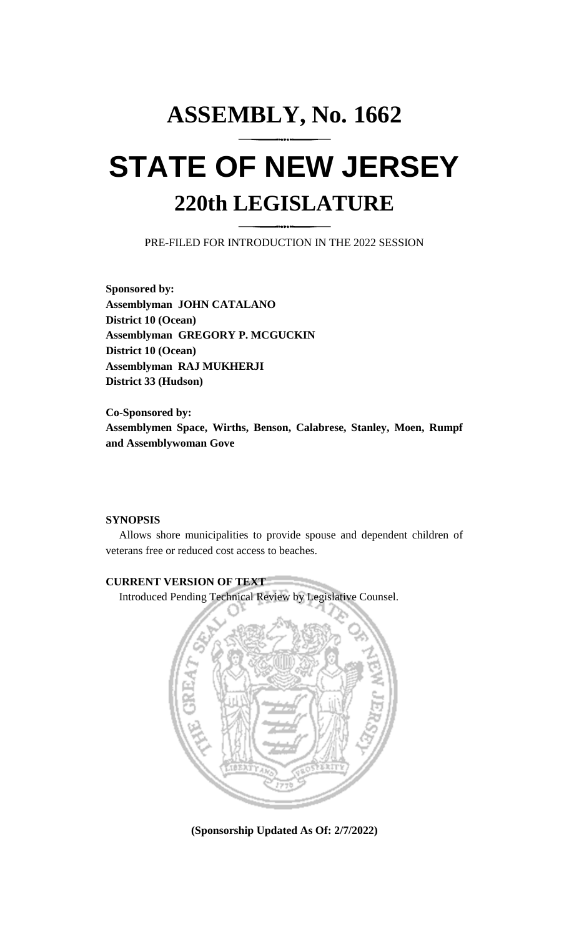## **ASSEMBLY, No. 1662 STATE OF NEW JERSEY 220th LEGISLATURE**

PRE-FILED FOR INTRODUCTION IN THE 2022 SESSION

**Sponsored by: Assemblyman JOHN CATALANO District 10 (Ocean) Assemblyman GREGORY P. MCGUCKIN District 10 (Ocean) Assemblyman RAJ MUKHERJI District 33 (Hudson)**

**Co-Sponsored by: Assemblymen Space, Wirths, Benson, Calabrese, Stanley, Moen, Rumpf and Assemblywoman Gove**

## **SYNOPSIS**

Allows shore municipalities to provide spouse and dependent children of veterans free or reduced cost access to beaches.

## **CURRENT VERSION OF TEXT**

Introduced Pending Technical Review by Legislative Counsel.



**(Sponsorship Updated As Of: 2/7/2022)**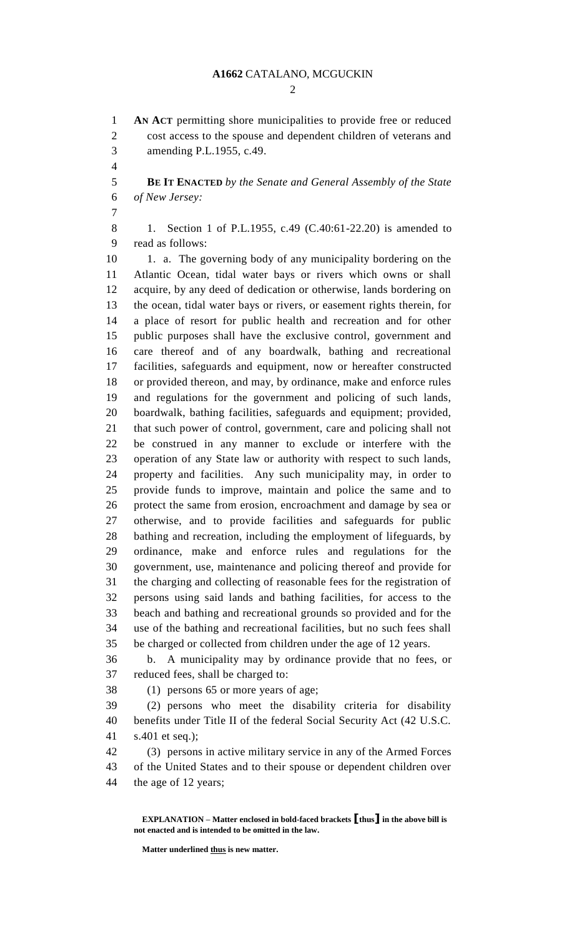$\mathcal{D}_{\mathcal{L}}$ 

 **AN ACT** permitting shore municipalities to provide free or reduced cost access to the spouse and dependent children of veterans and amending P.L.1955, c.49.

 **BE IT ENACTED** *by the Senate and General Assembly of the State of New Jersey:*

8 1. Section 1 of P.L.1955, c.49 (C.40:61-22.20) is amended to read as follows:

10 1. a. The governing body of any municipality bordering on the Atlantic Ocean, tidal water bays or rivers which owns or shall acquire, by any deed of dedication or otherwise, lands bordering on the ocean, tidal water bays or rivers, or easement rights therein, for a place of resort for public health and recreation and for other public purposes shall have the exclusive control, government and care thereof and of any boardwalk, bathing and recreational facilities, safeguards and equipment, now or hereafter constructed or provided thereon, and may, by ordinance, make and enforce rules and regulations for the government and policing of such lands, boardwalk, bathing facilities, safeguards and equipment; provided, that such power of control, government, care and policing shall not be construed in any manner to exclude or interfere with the operation of any State law or authority with respect to such lands, property and facilities. Any such municipality may, in order to provide funds to improve, maintain and police the same and to protect the same from erosion, encroachment and damage by sea or otherwise, and to provide facilities and safeguards for public bathing and recreation, including the employment of lifeguards, by ordinance, make and enforce rules and regulations for the government, use, maintenance and policing thereof and provide for the charging and collecting of reasonable fees for the registration of persons using said lands and bathing facilities, for access to the beach and bathing and recreational grounds so provided and for the use of the bathing and recreational facilities, but no such fees shall be charged or collected from children under the age of 12 years.

 b. A municipality may by ordinance provide that no fees, or reduced fees, shall be charged to:

(1) persons 65 or more years of age;

 (2) persons who meet the disability criteria for disability benefits under Title II of the federal Social Security Act (42 U.S.C. s.401 et seq.);

 (3) persons in active military service in any of the Armed Forces of the United States and to their spouse or dependent children over the age of 12 years;

**EXPLANATION – Matter enclosed in bold-faced brackets [thus] in the above bill is not enacted and is intended to be omitted in the law.**

**Matter underlined thus is new matter.**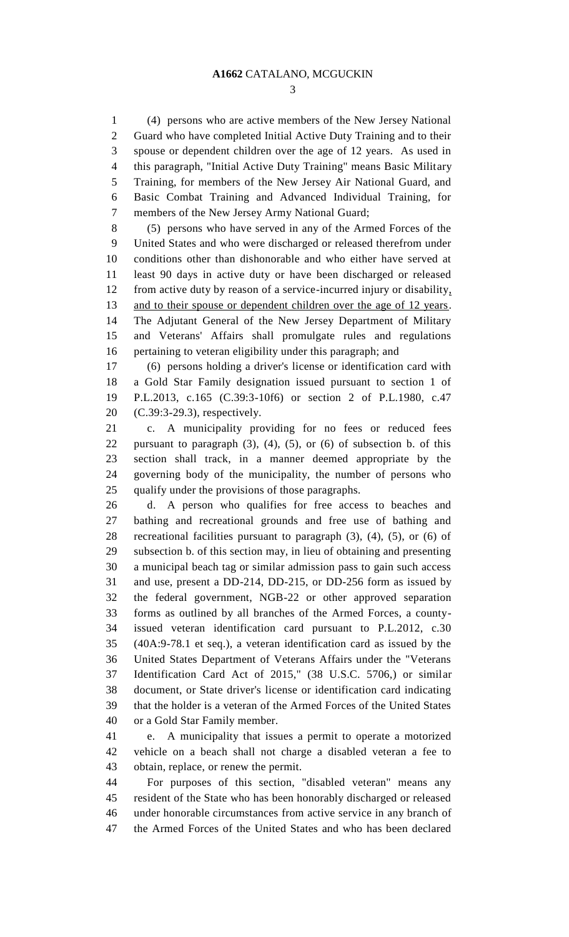(4) persons who are active members of the New Jersey National Guard who have completed Initial Active Duty Training and to their spouse or dependent children over the age of 12 years. As used in this paragraph, "Initial Active Duty Training" means Basic Military Training, for members of the New Jersey Air National Guard, and Basic Combat Training and Advanced Individual Training, for members of the New Jersey Army National Guard;

 (5) persons who have served in any of the Armed Forces of the United States and who were discharged or released therefrom under conditions other than dishonorable and who either have served at least 90 days in active duty or have been discharged or released from active duty by reason of a service-incurred injury or disability, 13 and to their spouse or dependent children over the age of 12 years. The Adjutant General of the New Jersey Department of Military and Veterans' Affairs shall promulgate rules and regulations pertaining to veteran eligibility under this paragraph; and

 (6) persons holding a driver's license or identification card with a Gold Star Family designation issued pursuant to section 1 of P.L.2013, c.165 (C.39:3-10f6) or section 2 of P.L.1980, c.47 (C.39:3-29.3), respectively.

 c. A municipality providing for no fees or reduced fees pursuant to paragraph (3), (4), (5), or (6) of subsection b. of this section shall track, in a manner deemed appropriate by the governing body of the municipality, the number of persons who qualify under the provisions of those paragraphs.

 d. A person who qualifies for free access to beaches and bathing and recreational grounds and free use of bathing and recreational facilities pursuant to paragraph (3), (4), (5), or (6) of subsection b. of this section may, in lieu of obtaining and presenting a municipal beach tag or similar admission pass to gain such access and use, present a DD-214, DD-215, or DD-256 form as issued by the federal government, NGB-22 or other approved separation forms as outlined by all branches of the Armed Forces, a county- issued veteran identification card pursuant to P.L.2012, c.30 (40A:9-78.1 et seq.), a veteran identification card as issued by the United States Department of Veterans Affairs under the "Veterans Identification Card Act of 2015," (38 U.S.C. 5706,) or similar document, or State driver's license or identification card indicating that the holder is a veteran of the Armed Forces of the United States or a Gold Star Family member.

 e. A municipality that issues a permit to operate a motorized vehicle on a beach shall not charge a disabled veteran a fee to obtain, replace, or renew the permit.

 For purposes of this section, "disabled veteran" means any resident of the State who has been honorably discharged or released under honorable circumstances from active service in any branch of the Armed Forces of the United States and who has been declared